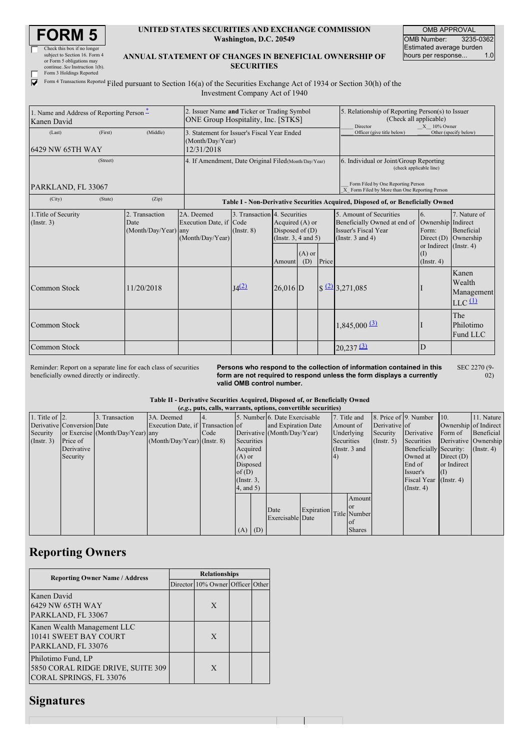| <b>DRM</b>                                             |
|--------------------------------------------------------|
| $C$ leads the leads of $\mathcal{L}$ and $\mathcal{L}$ |

| UNITED STATES SECURITIES AND EXCHANGE COMMISSION |
|--------------------------------------------------|
| Washington, D.C. 20549                           |

OMB APPROVAL OMB Number: 3235-0362 Estimated average burden<br>hours per response... 1.0 hours per response...

 $\ddot{02}$ 

 $\frac{1}{\Gamma}$ Check this box if no longer subject to Section 16. Form 4 or Form 5 obligations may continue. *See* Instruction 1(b). Form 3 Holdings Reported

### **ANNUAL STATEMENT OF CHANGES IN BENEFICIAL OWNERSHIP OF SECURITIES**

Form 4 Transactions Reported Filed pursuant to Section 16(a) of the Securities Exchange Act of 1934 or Section 30(h) of the Investment Company Act of 1940

| 1. Name and Address of Reporting Person*<br>Kanen David |          |                                                | 2. Issuer Name and Ticker or Trading Symbol<br><b>ONE Group Hospitality, Inc. [STKS]</b> |                                                 |                                                                                                        |                                                                                      |  | 5. Relationship of Reporting Person(s) to Issuer<br>(Check all applicable)<br>Director<br>$X = 10\%$ Owner |                                                                                                        |                                                                    |  |
|---------------------------------------------------------|----------|------------------------------------------------|------------------------------------------------------------------------------------------|-------------------------------------------------|--------------------------------------------------------------------------------------------------------|--------------------------------------------------------------------------------------|--|------------------------------------------------------------------------------------------------------------|--------------------------------------------------------------------------------------------------------|--------------------------------------------------------------------|--|
| (Last)<br>6429 NW 65TH WAY                              | (First)  | (Middle)                                       | 3. Statement for Issuer's Fiscal Year Ended<br>(Month/Day/Year)<br>12/31/2018            |                                                 |                                                                                                        | Officer (give title below)                                                           |  | Other (specify below)                                                                                      |                                                                                                        |                                                                    |  |
|                                                         | (Street) |                                                | 4. If Amendment, Date Original Filed (Month/Day/Year)                                    |                                                 |                                                                                                        | 6. Individual or Joint/Group Reporting<br>(check applicable line)                    |  |                                                                                                            |                                                                                                        |                                                                    |  |
| PARKLAND, FL 33067                                      |          |                                                |                                                                                          |                                                 |                                                                                                        | Form Filed by One Reporting Person<br>X Form Filed by More than One Reporting Person |  |                                                                                                            |                                                                                                        |                                                                    |  |
| (City)                                                  | (State)  | (Zip)                                          |                                                                                          |                                                 |                                                                                                        |                                                                                      |  | Table I - Non-Derivative Securities Acquired, Disposed of, or Beneficially Owned                           |                                                                                                        |                                                                    |  |
| 1. Title of Security<br>(Insert. 3)                     |          | 2. Transaction<br>Date<br>(Month/Day/Year) any | 2A. Deemed<br>Execution Date, if Code<br>(Month/Day/Year)                                | 3. Transaction 4. Securities<br>$($ Instr. $8)$ | Acquired (A) or<br>Disposed of $(D)$<br>(Instr. $3, 4$ and $5$ )<br>$(A)$ or<br>Price<br>(D)<br>Amount |                                                                                      |  | 5. Amount of Securities<br>Beneficially Owned at end of<br>Issuer's Fiscal Year<br>(Instr. $3$ and $4$ )   | 6.<br>Ownership Indirect<br>Form:<br>Direct $(D)$<br>or Indirect (Instr. 4)<br>(1)<br>$($ Instr. 4 $)$ | 7. Nature of<br>Beneficial<br>Ownership                            |  |
| Common Stock                                            |          | 11/20/2018                                     |                                                                                          | J(4(2)                                          | $26,016$ D                                                                                             |                                                                                      |  | $\frac{22}{3,271,085}$                                                                                     |                                                                                                        | Kanen<br>Wealth<br>Management<br>$LLC$ <sup><math>(1)</math></sup> |  |
| Common Stock                                            |          |                                                |                                                                                          |                                                 |                                                                                                        |                                                                                      |  | $1,845,000$ (3)                                                                                            |                                                                                                        | The<br>Philotimo<br>Fund LLC                                       |  |
| Common Stock                                            |          |                                                |                                                                                          |                                                 |                                                                                                        |                                                                                      |  | $20,237$ $\Omega$                                                                                          | D                                                                                                      |                                                                    |  |

Reminder: Report on a separate line for each class of securities beneficially owned directly or indirectly.

**Persons who respond to the collection of information contained in this form are not required to respond unless the form displays a currently valid OMB control number.** SEC 2270 (9-

#### **Table II - Derivative Securities Acquired, Disposed of, or Beneficially Owned**

| (e.g., puts, calls, warrants, options, convertible securities) |                            |                                  |                                   |      |                   |      |                               |  |            |               |                  |                        |                       |                      |
|----------------------------------------------------------------|----------------------------|----------------------------------|-----------------------------------|------|-------------------|------|-------------------------------|--|------------|---------------|------------------|------------------------|-----------------------|----------------------|
| 1. Title of $ 2$ .                                             |                            | 3. Transaction                   | 3A. Deemed                        |      |                   |      | 5. Number 6. Date Exercisable |  |            | 7. Title and  |                  | 8. Price of 9. Number  | 10.                   | 11. Nature           |
|                                                                | Derivative Conversion Date |                                  | Execution Date, if Transaction of |      |                   |      | and Expiration Date           |  |            | Amount of     | Derivative of    |                        | Ownership of Indirect |                      |
| Security                                                       |                            | or Exercise (Month/Day/Year) any |                                   | Code |                   |      | Derivative (Month/Day/Year)   |  |            | Underlying    | Security         | Derivative             | Form of               | Beneficial           |
| $($ Instr. 3 $)$                                               | Price of                   |                                  | $(Month/Day/Year)$ (Instr. 8)     |      | <b>Securities</b> |      |                               |  | Securities |               | $($ Instr. 5 $)$ | Securities             |                       | Derivative Ownership |
|                                                                | Derivative                 |                                  |                                   |      | Acquired          |      |                               |  |            | (Instr. 3 and |                  | Beneficially Security: |                       | $($ Instr. 4 $)$     |
|                                                                | Security                   |                                  |                                   |      | $(A)$ or          |      |                               |  |            |               |                  | Owned at               | Direct $(D)$          |                      |
|                                                                |                            |                                  |                                   |      | Disposed          |      |                               |  |            |               |                  | End of                 | or Indirect           |                      |
|                                                                |                            |                                  |                                   |      | of(D)             |      |                               |  |            |               |                  | Issuer's               | (I)                   |                      |
|                                                                |                            |                                  |                                   |      | $($ Instr. $3,$   |      |                               |  |            |               |                  | Fiscal Year            | (Insert, 4)           |                      |
|                                                                |                            |                                  |                                   |      | $4$ , and $5$ )   |      |                               |  |            |               |                  | $($ Instr. 4 $)$       |                       |                      |
|                                                                |                            |                                  |                                   |      |                   |      |                               |  |            | Amount        |                  |                        |                       |                      |
|                                                                |                            |                                  |                                   |      |                   |      |                               |  |            | <sub>or</sub> |                  |                        |                       |                      |
|                                                                |                            |                                  |                                   |      |                   | Date | Expiration Title Number       |  |            |               |                  |                        |                       |                      |
|                                                                |                            |                                  |                                   |      |                   |      | Exercisable Date              |  |            | οf            |                  |                        |                       |                      |
|                                                                |                            |                                  |                                   |      | (A)               | (D)  |                               |  |            | <b>Shares</b> |                  |                        |                       |                      |

# **Reporting Owners**

| <b>Reporting Owner Name / Address</b>                                              | <b>Relationships</b> |                                  |  |  |  |  |  |
|------------------------------------------------------------------------------------|----------------------|----------------------------------|--|--|--|--|--|
|                                                                                    |                      | Director 10% Owner Officer Other |  |  |  |  |  |
| Kanen David<br>6429 NW 65TH WAY<br>PARKLAND, FL 33067                              |                      | X                                |  |  |  |  |  |
| Kanen Wealth Management LLC<br>10141 SWEET BAY COURT<br>PARKLAND, FL 33076         |                      | X                                |  |  |  |  |  |
| Philotimo Fund, LP<br>5850 CORAL RIDGE DRIVE, SUITE 309<br>CORAL SPRINGS, FL 33076 |                      | X                                |  |  |  |  |  |

## **Signatures**